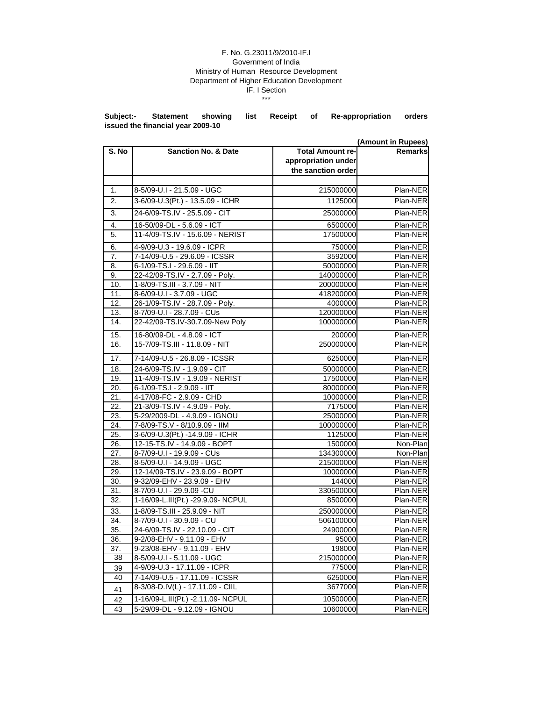## F. No. G.23011/9/2010-IF.I Government of India Ministry of Human Resource Development Department of Higher Education Development IF. I Section \*\*\*

**Subject:- Statement showing list Receipt of Re-appropriation orders issued the financial year 2009-10**

|                  |                                    |                         | (Amount in Rupees) |
|------------------|------------------------------------|-------------------------|--------------------|
| S. No            | <b>Sanction No. &amp; Date</b>     | <b>Total Amount re-</b> | <b>Remarks</b>     |
|                  |                                    | appropriation under     |                    |
|                  |                                    | the sanction order      |                    |
|                  |                                    |                         |                    |
| 1.               | 8-5/09-U.I - 21.5.09 - UGC         | 215000000               | Plan-NER           |
| 2.               | 3-6/09-U.3(Pt.) - 13.5.09 - ICHR   | 1125000                 | Plan-NER           |
| $\overline{3}$ . | 24-6/09-TS.IV - 25.5.09 - CIT      | 25000000                | Plan-NER           |
| 4.               | 16-50/09-DL - 5.6.09 - ICT         | 6500000                 | Plan-NER           |
| 5.               | 11-4/09-TS.IV - 15.6.09 - NERIST   | 17500000                | Plan-NER           |
| 6.               | 4-9/09-U.3 - 19.6.09 - ICPR        | 750000                  | Plan-NER           |
| 7.               | 7-14/09-U.5 - 29.6.09 - ICSSR      | 3592000                 | Plan-NER           |
| 8.               | 6-1/09-TS.I - 29.6.09 - IIT        | 50000000                | Plan-NER           |
| 9.               | 22-42/09-TS.IV - 2.7.09 - Poly.    | 140000000               | Plan-NER           |
| 10.              | 1-8/09-TS.III - 3.7.09 - NIT       | 200000000               | Plan-NER           |
| 11.              | 8-6/09-U.I - 3.7.09 - UGC          | 418200000               | Plan-NER           |
| 12.              | 26-1/09-TS.IV - 28.7.09 - Poly.    | 4000000                 | Plan-NER           |
| 13.              | 8-7/09-U.I - 28.7.09 - CUs         | 120000000               | Plan-NER           |
| 14.              | 22-42/09-TS.IV-30.7.09-New Poly    | 100000000               | Plan-NER           |
| 15.              | 16-80/09-DL - 4.8.09 - ICT         | 200000                  | Plan-NER           |
| 16.              | 15-7/09-TS.III - 11.8.09 - NIT     | 250000000               | Plan-NER           |
| 17.              | 7-14/09-U.5 - 26.8.09 - ICSSR      | 6250000                 | Plan-NER           |
| 18.              | 24-6/09-TS.IV - 1.9.09 - CIT       | 50000000                | Plan-NER           |
| 19.              | 11-4/09-TS.IV - 1.9.09 - NERIST    | 17500000                | Plan-NER           |
| 20.              | 6-1/09-TS.I - 2.9.09 - IIT         | 80000000                | Plan-NER           |
| 21.              | 4-17/08-FC - 2.9.09 - CHD          | 10000000                | Plan-NER           |
| 22.              | 21-3/09-TS.IV - 4.9.09 - Poly.     | 7175000                 | Plan-NER           |
| 23.              | 5-29/2009-DL - 4.9.09 - IGNOU      | 25000000                | Plan-NER           |
| 24.              | 7-8/09-TS.V - 8/10.9.09 - IIM      | 100000000               | Plan-NER           |
| 25.              | 3-6/09-U.3(Pt.) -14.9.09 - ICHR    | 1125000                 | Plan-NER           |
| 26.              | 12-15-TS.IV - 14.9.09 - BOPT       | 1500000                 | Non-Plan           |
| 27.              | 8-7/09-U.I - 19.9.09 - CUs         | 134300000               | Non-Plan           |
| 28.              | 8-5/09-U.I - 14.9.09 - UGC         | 215000000               | Plan-NER           |
| 29.              | 12-14/09-TS.IV - 23.9.09 - BOPT    | 10000000                | Plan-NER           |
| 30.              | 9-32/09-EHV - 23.9.09 - EHV        | 144000                  | Plan-NER           |
| 31.              | 8-7/09-U.I - 29.9.09 -CU           | 330500000               | Plan-NER           |
| 32.              | 1-16/09-L.III(Pt.) -29.9.09- NCPUL | 8500000                 | Plan-NER           |
| 33.              | 1-8/09-TS.III - 25.9.09 - NIT      | 250000000               | Plan-NER           |
| 34.              | 8-7/09-U.I - 30.9.09 - CU          | 506100000               | Plan-NER           |
| 35.              | 24-6/09-TS.IV - 22.10.09 - CIT     | 24900000                | Plan-NER           |
| 36.              | 9-2/08-EHV - 9.11.09 - EHV         | 95000                   | Plan-NER           |
| 37.              | 9-23/08-EHV - 9.11.09 - EHV        | 198000                  | Plan-NER           |
| 38               | 8-5/09-U.I - 5.11.09 - UGC         | 215000000               | Plan-NER           |
| 39               | 4-9/09-U.3 - 17.11.09 - ICPR       | 775000                  | Plan-NER           |
| 40               | 7-14/09-U.5 - 17.11.09 - ICSSR     | 6250000                 | Plan-NER           |
| 41               | 8-3/08-D.IV(L) - 17.11.09 - CIIL   | 3677000                 | Plan-NER           |
| 42               | 1-16/09-L.III(Pt.) -2.11.09- NCPUL | 10500000                | Plan-NER           |
| 43               | 5-29/09-DL - 9.12.09 - IGNOU       | 10600000                | Plan-NER           |